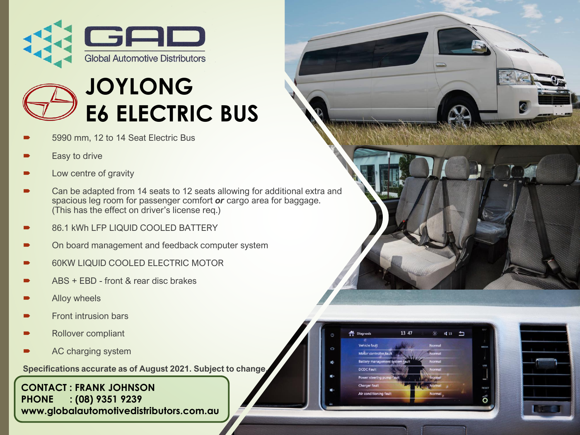

## **JOYLONG E6 ELECTRIC BUS**

- 5990 mm, 12 to 14 Seat Electric Bus
- Easy to drive
- Low centre of gravity
- Can be adapted from 14 seats to 12 seats allowing for additional extra and spacious leg room for passenger comfort *or* cargo area for baggage. (This has the effect on driver's license req.)
- 86.1 kWh LFP LIQUID COOLED BATTERY
- On board management and feedback computer system
- 60KW LIQUID COOLED ELECTRIC MOTOR
- ABS + EBD front & rear disc brakes
- Alloy wheels
- Front intrusion bars
- Rollover compliant
- AC charging system

**Specifications accurate as of August 2021. Subject to change.**

#### **CONTACT : FRANK JOHNSON PHONE : (08) 9351 9239 www.globalautomotivedistributors.com.au**



| $\mathcal{O}$ | <b>Diagnosis</b>                | 13 47 | $\phi$ | $\sqrt{15}$ |  |
|---------------|---------------------------------|-------|--------|-------------|--|
| Q             | <b>Vehicle fault</b>            |       | Normal |             |  |
|               | Motor controller fault          |       | Normal |             |  |
| I.            | Battery management system fault |       | Normal |             |  |
|               | <b>DCDC Fault</b>               |       | Normal |             |  |
|               | Power steering pump fault       |       | Normal |             |  |
|               | <b>Charger fault</b>            |       | Normal |             |  |
|               | Air conditioning fault          |       | Normal |             |  |
| MKC           |                                 |       |        |             |  |